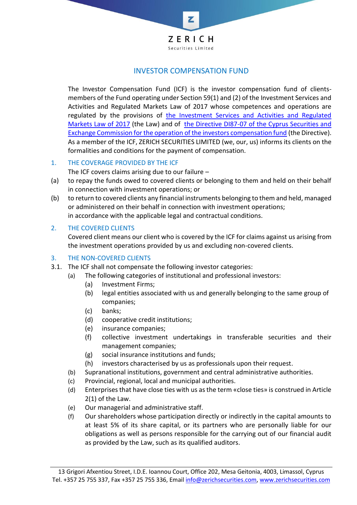

## INVESTOR COMPENSATION FUND

The Investor Compensation Fund (ICF) is the investor compensation fund of clientsmembers of the Fund operating under Section 59(1) and (2) of the Investment Services and Activities and Regulated Markets Law of 2017 whose competences and operations are regulated by the provisions of [the Investment Services and Activities and Regulated](https://www.cysec.gov.cy/CMSPages/GetFile.aspx?guid=77e29980-c9c2-449b-b0b4-5da399bd1342)  [Markets Law of 2017](https://www.cysec.gov.cy/CMSPages/GetFile.aspx?guid=77e29980-c9c2-449b-b0b4-5da399bd1342) (the Law) and of [the Directive DI87-07 of the Cyprus Securities and](https://www.cysec.gov.cy/CMSPages/GetFile.aspx?guid=74a1a255-f218-4f07-b1ad-4d0c79a615b8)  [Exchange Commission for the operation of the investors compensation fund](https://www.cysec.gov.cy/CMSPages/GetFile.aspx?guid=74a1a255-f218-4f07-b1ad-4d0c79a615b8) (the Directive). As a member of the ICF, ZERICH SECURITIES LIMITED (we, our, us) informs its clients on the formalities and conditions for the payment of compensation.

1. THE COVERAGE PROVIDED BY THE ICF

The ICF covers claims arising due to our failure  $-$ 

- (a) to repay the funds owed to covered clients or belonging to them and held on their behalf in connection with investment operations; or
- (b) to return to covered clients any financial instruments belonging to them and held, managed or administered on their behalf in connection with investment operations; in accordance with the applicable legal and contractual conditions.

## 2. THE COVERED CLIENTS

Covered client means our client who is covered by the ICF for claims against us arising from the investment operations provided by us and excluding non-covered clients.

## 3. THE NON-COVERED CLIENTS

- 3.1. The ICF shall not compensate the following investor categories:
	- (a) The following categories of institutional and professional investors:
		- (a) Investment Firms;
		- (b) legal entities associated with us and generally belonging to the same group of companies;
		- (c) banks;
		- (d) cooperative credit institutions;
		- (e) insurance companies;
		- (f) collective investment undertakings in transferable securities and their management companies;
		- (g) social insurance institutions and funds;
		- (h) investors characterised by us as professionals upon their request.
	- (b) Supranational institutions, government and central administrative authorities.
	- (c) Provincial, regional, local and municipal authorities.
	- (d) Enterprises that have close ties with us as the term «close ties» is construed in Article 2(1) of the Law.
	- (e) Our managerial and administrative staff.
	- (f) Our shareholders whose participation directly or indirectly in the capital amounts to at least 5% of its share capital, or its partners who are personally liable for our obligations as well as persons responsible for the carrying out of our financial audit as provided by the Law, such as its qualified auditors.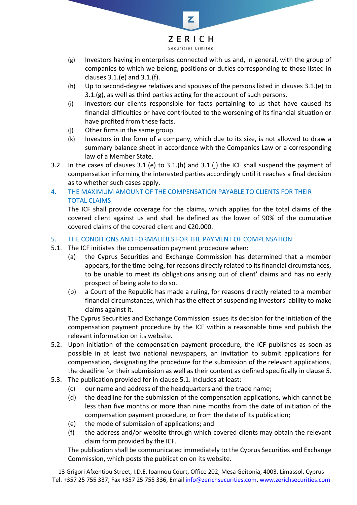

Z

Securities Limited

- (g) Investors having in enterprises connected with us and, in general, with the group of companies to which we belong, positions or duties corresponding to those listed in clauses 3.1.(e) and 3.1.(f).
- (h) Up to second-degree relatives and spouses of the persons listed in clauses 3.1.(e) to 3.1.(g), as well as third parties acting for the account of such persons.
- (i) Investors-our clients responsible for facts pertaining to us that have caused its financial difficulties or have contributed to the worsening of its financial situation or have profited from these facts.
- (j) Other firms in the same group.
- (k) Investors in the form of a company, which due to its size, is not allowed to draw a summary balance sheet in accordance with the Companies Law or a corresponding law of a Member State.
- 3.2. In the cases of clauses 3.1.(e) to 3.1.(h) and 3.1.(j) the ICF shall suspend the payment of compensation informing the interested parties accordingly until it reaches a final decision as to whether such cases apply.
- 4. THE MAXIMUM AMOUNT OF THE COMPENSATION PAYABLE TO CLIENTS FOR THEIR TOTAL CLAIMS

The ICF shall provide coverage for the claims, which applies for the total claims of the covered client against us and shall be defined as the lower of 90% of the cumulative covered claims of the covered client and €20.000.

- 5. THE CONDITIONS AND FORMALITIES FOR THE PAYMENT OF COMPENSATION
- 5.1. The ICF initiates the compensation payment procedure when:
	- (a) the Cyprus Securities and Exchange Commission has determined that a member appears, for the time being, for reasons directly related to its financial circumstances, to be unable to meet its obligations arising out of client' claims and has no early prospect of being able to do so.
	- (b) a Court of the Republic has made a ruling, for reasons directly related to a member financial circumstances, which has the effect of suspending investors' ability to make claims against it.

The Cyprus Securities and Exchange Commission issues its decision for the initiation of the compensation payment procedure by the ICF within a reasonable time and publish the relevant information on its website.

- 5.2. Upon initiation of the compensation payment procedure, the ICF publishes as soon as possible in at least two national newspapers, an invitation to submit applications for compensation, designating the procedure for the submission of the relevant applications, the deadline for their submission as well as their content as defined specifically in clause 5.
- 5.3. The publication provided for in clause 5.1. includes at least:
	- (c) our name and address of the headquarters and the trade name;
	- (d) the deadline for the submission of the compensation applications, which cannot be less than five months or more than nine months from the date of initiation of the compensation payment procedure, or from the date of its publication;
	- (e) the mode of submission of applications; and
	- (f) the address and/or website through which covered clients may obtain the relevant claim form provided by the ICF.

The publication shall be communicated immediately to the Cyprus Securities and Exchange Commission, which posts the publication on its website.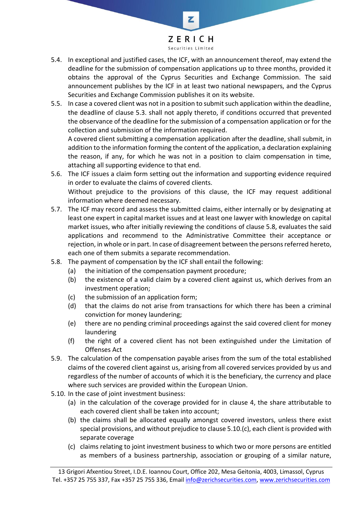

Z

- 5.4. In exceptional and justified cases, the ICF, with an announcement thereof, may extend the deadline for the submission of compensation applications up to three months, provided it obtains the approval of the Cyprus Securities and Exchange Commission. The said announcement publishes by the ICF in at least two national newspapers, and the Cyprus Securities and Exchange Commission publishes it on its website.
- 5.5. In case a covered client was not in a position to submit such application within the deadline, the deadline of clause 5.3. shall not apply thereto, if conditions occurred that prevented the observance of the deadline for the submission of a compensation application or for the collection and submission of the information required.

A covered client submitting a compensation application after the deadline, shall submit, in addition to the information forming the content of the application, a declaration explaining the reason, if any, for which he was not in a position to claim compensation in time, attaching all supporting evidence to that end.

- 5.6. The ICF issues a claim form setting out the information and supporting evidence required in order to evaluate the claims of covered clients. Without prejudice to the provisions of this clause, the ICF may request additional information where deemed necessary.
- 5.7. The ICF may record and assess the submitted claims, either internally or by designating at least one expert in capital market issues and at least one lawyer with knowledge on capital market issues, who after initially reviewing the conditions of clause 5.8, evaluates the said applications and recommend to the Administrative Committee their acceptance or rejection, in whole or in part. In case of disagreement between the persons referred hereto, each one of them submits a separate recommendation.
- 5.8. The payment of compensation by the ICF shall entail the following:
	- (a) the initiation of the compensation payment procedure;
	- (b) the existence of a valid claim by a covered client against us, which derives from an investment operation;
	- (c) the submission of an application form;
	- (d) that the claims do not arise from transactions for which there has been a criminal conviction for money laundering;
	- (e) there are no pending criminal proceedings against the said covered client for money laundering
	- (f) the right of a covered client has not been extinguished under the Limitation of Offenses Act
- 5.9. The calculation of the compensation payable arises from the sum of the total established claims of the covered client against us, arising from all covered services provided by us and regardless of the number of accounts of which it is the beneficiary, the currency and place where such services are provided within the European Union.
- 5.10. In the case of joint investment business:
	- (a) in the calculation of the coverage provided for in clause 4, the share attributable to each covered client shall be taken into account;
	- (b) the claims shall be allocated equally amongst covered investors, unless there exist special provisions, and without prejudice to clause 5.10.(c), each client is provided with separate coverage
	- (c) claims relating to joint investment business to which two or more persons are entitled as members of a business partnership, association or grouping of a similar nature,